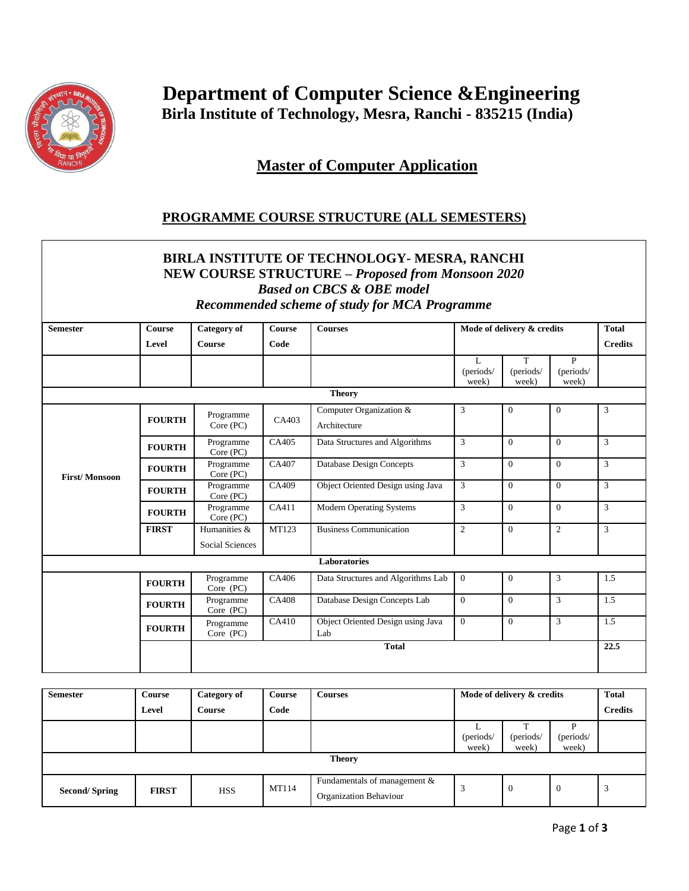

 **Department of Computer Science &Engineering Birla Institute of Technology, Mesra, Ranchi - 835215 (India)**

**Master of Computer Application**

## **PROGRAMME COURSE STRUCTURE (ALL SEMESTERS)**

## **BIRLA INSTITUTE OF TECHNOLOGY- MESRA, RANCHI NEW COURSE STRUCTURE –** *Proposed from Monsoon 2020 Based on CBCS & OBE model Recommended scheme of study for MCA Programme*

| <b>Semester</b>      | <b>Course</b> | <b>Category of</b>     | <b>Course</b> | <b>Courses</b>                           |                | Mode of delivery & credits |                |                |
|----------------------|---------------|------------------------|---------------|------------------------------------------|----------------|----------------------------|----------------|----------------|
|                      |               |                        |               |                                          |                |                            |                | <b>Total</b>   |
|                      | Level         | <b>Course</b>          | Code          |                                          |                |                            | <b>Credits</b> |                |
|                      |               |                        |               |                                          | L              | T                          | P              |                |
|                      |               |                        |               |                                          | (periods/      | (periods/                  | (periods/      |                |
|                      |               |                        |               |                                          | week)          | week)                      | week)          |                |
|                      |               |                        |               | <b>Theory</b>                            |                |                            |                |                |
|                      |               | Programme              |               | Computer Organization &                  | 3              | $\overline{0}$             | $\overline{0}$ | 3              |
| <b>First/Monsoon</b> | <b>FOURTH</b> | Core (PC)              | CA403         | Architecture                             |                |                            |                |                |
|                      | <b>FOURTH</b> | Programme<br>Core (PC) | CA405         | Data Structures and Algorithms           | 3              | $\Omega$                   | $\Omega$       | 3              |
|                      | <b>FOURTH</b> | Programme<br>Core (PC) | CA407         | <b>Database Design Concepts</b>          | $\overline{3}$ | $\theta$                   | $\Omega$       | $\mathcal{E}$  |
|                      | <b>FOURTH</b> | Programme<br>Core (PC) | CA409         | Object Oriented Design using Java        | 3              | $\overline{0}$             | $\overline{0}$ | 3              |
|                      | <b>FOURTH</b> | Programme<br>Core (PC) | CA411         | <b>Modern Operating Systems</b>          | 3              | $\Omega$                   | $\Omega$       | $\mathfrak{Z}$ |
|                      | <b>FIRST</b>  | Humanities &           | <b>MT123</b>  | <b>Business Communication</b>            | $\overline{c}$ | $\overline{0}$             | 2              | 3              |
|                      |               | Social Sciences        |               |                                          |                |                            |                |                |
|                      |               |                        |               | <b>Laboratories</b>                      |                |                            |                |                |
|                      | <b>FOURTH</b> | Programme<br>Core (PC) | CA406         | Data Structures and Algorithms Lab       | $\overline{0}$ | $\overline{0}$             | 3              | 1.5            |
|                      | <b>FOURTH</b> | Programme<br>Core (PC) | CA408         | Database Design Concepts Lab             | $\overline{0}$ | $\theta$                   | $\overline{3}$ | 1.5            |
|                      | <b>FOURTH</b> | Programme<br>Core (PC) | CA410         | Object Oriented Design using Java<br>Lab | $\overline{0}$ | $\overline{0}$             | 3              | 1.5            |
|                      |               | <b>Total</b>           |               |                                          |                |                            |                | 22.5           |

| <b>Semester</b>      | <b>Course</b> | Category of | Course | <b>Courses</b>                                         | Mode of delivery & credits |                    |                         | <b>Total</b>   |
|----------------------|---------------|-------------|--------|--------------------------------------------------------|----------------------------|--------------------|-------------------------|----------------|
|                      | Level         | Course      | Code   |                                                        |                            |                    |                         | <b>Credits</b> |
|                      |               |             |        |                                                        | (periods/<br>week)         | (periods/<br>week) | D<br>(periods/<br>week) |                |
| <b>Theory</b>        |               |             |        |                                                        |                            |                    |                         |                |
| <b>Second/Spring</b> | <b>FIRST</b>  | <b>HSS</b>  | MT114  | Fundamentals of management &<br>Organization Behaviour | 3                          | $\overline{0}$     | -0                      | 3              |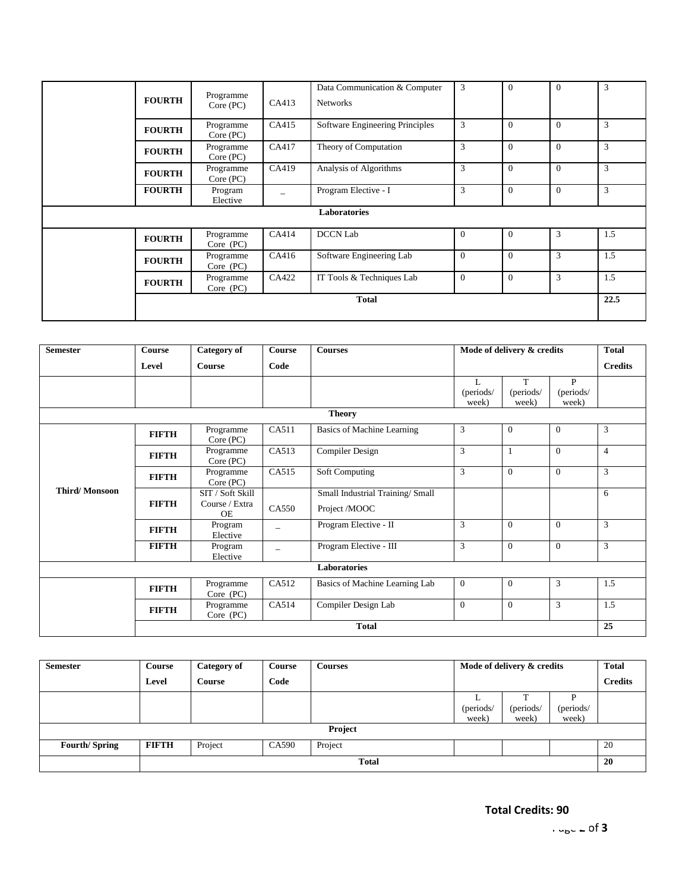|  | <b>FOURTH</b> | Programme<br>Core (PC)   | CA413 | Data Communication & Computer<br><b>Networks</b> | 3              | $\overline{0}$ | $\mathbf{0}$ | 3    |
|--|---------------|--------------------------|-------|--------------------------------------------------|----------------|----------------|--------------|------|
|  | <b>FOURTH</b> | Programme<br>Core (PC)   | CA415 | Software Engineering Principles                  | 3              | $\Omega$       | $\Omega$     | 3    |
|  | <b>FOURTH</b> | Programme<br>Core (PC)   | CA417 | Theory of Computation                            | 3              | $\theta$       | $\mathbf{0}$ | 3    |
|  | <b>FOURTH</b> | Programme<br>Core (PC)   | CA419 | Analysis of Algorithms                           | 3              | $\theta$       | $\mathbf{0}$ | 3    |
|  | <b>FOURTH</b> | Program<br>Elective      |       | Program Elective - I                             | 3              | $\theta$       | $\mathbf{0}$ | 3    |
|  |               |                          |       | <b>Laboratories</b>                              |                |                |              |      |
|  | <b>FOURTH</b> | Programme<br>$Core$ (PC) | CA414 | <b>DCCN Lab</b>                                  | $\overline{0}$ | $\overline{0}$ | 3            | 1.5  |
|  | <b>FOURTH</b> | Programme<br>$Core$ (PC) | CA416 | Software Engineering Lab                         | $\mathbf{0}$   | $\overline{0}$ | 3            | 1.5  |
|  | <b>FOURTH</b> | Programme<br>Core (PC)   | CA422 | IT Tools & Techniques Lab                        | $\mathbf{0}$   | $\theta$       | 3            | 1.5  |
|  |               |                          |       | <b>Total</b>                                     |                |                |              | 22.5 |

| <b>Semester</b>      | <b>Course</b> | Category of                                     | <b>Course</b> | <b>Courses</b>                                    | Mode of delivery & credits |                         |                                    | <b>Total</b>   |  |  |
|----------------------|---------------|-------------------------------------------------|---------------|---------------------------------------------------|----------------------------|-------------------------|------------------------------------|----------------|--|--|
|                      | Level         | Course                                          | Code          |                                                   |                            |                         |                                    | <b>Credits</b> |  |  |
|                      |               |                                                 |               |                                                   | L<br>(periods/<br>week)    | T<br>(periods/<br>week) | $\mathbf{P}$<br>(periods/<br>week) |                |  |  |
| <b>Theory</b>        |               |                                                 |               |                                                   |                            |                         |                                    |                |  |  |
| <b>Third/Monsoon</b> | <b>FIFTH</b>  | Programme<br>Core (PC)                          | CA511         | Basics of Machine Learning                        | 3                          | $\theta$                | $\theta$                           | 3              |  |  |
|                      | <b>FIFTH</b>  | Programme<br>Core (PC)                          | CA513         | <b>Compiler Design</b>                            | 3                          | 1                       | $\theta$                           | $\overline{4}$ |  |  |
|                      | <b>FIFTH</b>  | Programme<br>Core (PC)                          | CA515         | <b>Soft Computing</b>                             | 3                          | $\overline{0}$          | $\overline{0}$                     | 3              |  |  |
|                      | <b>FIFTH</b>  | SIT / Soft Skill<br>Course / Extra<br><b>OE</b> | CA550         | Small Industrial Training/ Small<br>Project /MOOC |                            |                         |                                    | 6              |  |  |
|                      | <b>FIFTH</b>  | Program<br>Elective                             |               | Program Elective - II                             | 3                          | $\theta$                | $\Omega$                           | 3              |  |  |
|                      | <b>FIFTH</b>  | Program<br>Elective                             |               | Program Elective - III                            | 3                          | $\theta$                | $\theta$                           | 3              |  |  |
| Laboratories         |               |                                                 |               |                                                   |                            |                         |                                    |                |  |  |
|                      | <b>FIFTH</b>  | Programme<br>Core (PC)                          | CA512         | Basics of Machine Learning Lab                    | $\boldsymbol{0}$           | $\theta$                | 3                                  | 1.5            |  |  |
|                      | <b>FIFTH</b>  | Programme<br>Core (PC)                          | CA514         | Compiler Design Lab                               | $\overline{0}$             | $\theta$                | 3                                  | 1.5<br>25      |  |  |
|                      | <b>Total</b>  |                                                 |               |                                                   |                            |                         |                                    |                |  |  |

| <b>Semester</b>      | Course       | Category of   | Course | <b>Courses</b> | Mode of delivery & credits |                |           | <b>Total</b> |  |
|----------------------|--------------|---------------|--------|----------------|----------------------------|----------------|-----------|--------------|--|
|                      | Level        | <b>Course</b> | Code   |                |                            | <b>Credits</b> |           |              |  |
|                      |              |               |        |                | ┻                          | $\mathbf{r}$   | D         |              |  |
|                      |              |               |        |                | (periods/                  | (periods/      | (periods/ |              |  |
|                      |              |               |        |                | week)                      | week)          | week)     |              |  |
| Project              |              |               |        |                |                            |                |           |              |  |
| <b>Fourth/Spring</b> | <b>FIFTH</b> | Project       | CA590  | Project        |                            |                |           | 20           |  |
|                      | <b>Total</b> |               |        |                |                            |                |           | 20           |  |